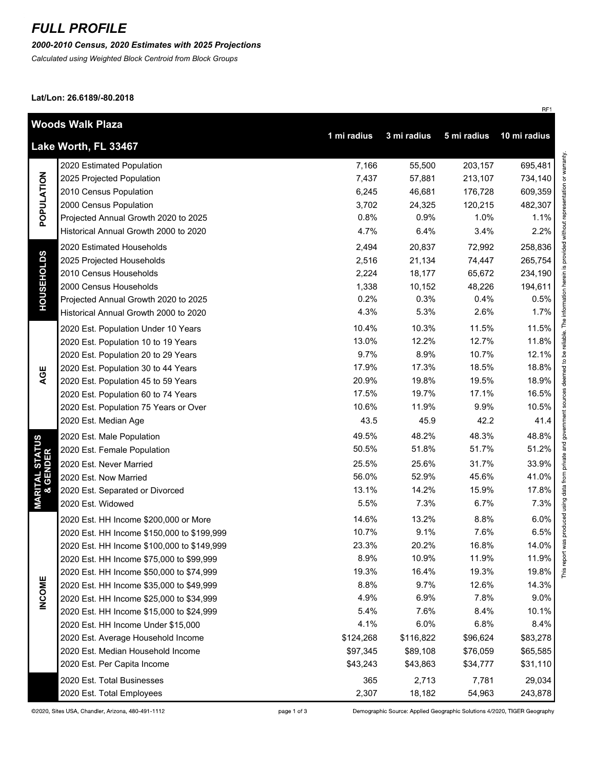# *FULL PROFILE*

*2000-2010 Census, 2020 Estimates with 2025 Projections*

*Calculated using Weighted Block Centroid from Block Groups*

**Lat/Lon: 26.6189/-80.2018**

| Woods Walk Plaza                                                                  |                                            |           |           |          |          |  |  |
|-----------------------------------------------------------------------------------|--------------------------------------------|-----------|-----------|----------|----------|--|--|
| 1 mi radius<br>10 mi radius<br>3 mi radius<br>5 mi radius<br>Lake Worth, FL 33467 |                                            |           |           |          |          |  |  |
| POPULATION                                                                        | 2020 Estimated Population                  | 7,166     | 55,500    | 203,157  | 695,481  |  |  |
|                                                                                   | 2025 Projected Population                  | 7,437     | 57,881    | 213,107  | 734,140  |  |  |
|                                                                                   | 2010 Census Population                     | 6,245     | 46,681    | 176,728  | 609,359  |  |  |
|                                                                                   | 2000 Census Population                     | 3,702     | 24,325    | 120,215  | 482,307  |  |  |
|                                                                                   | Projected Annual Growth 2020 to 2025       | 0.8%      | 0.9%      | 1.0%     | 1.1%     |  |  |
|                                                                                   | Historical Annual Growth 2000 to 2020      | 4.7%      | 6.4%      | 3.4%     | 2.2%     |  |  |
| <b>HOUSEHOLDS</b>                                                                 | 2020 Estimated Households                  | 2,494     | 20,837    | 72,992   | 258,836  |  |  |
|                                                                                   | 2025 Projected Households                  | 2,516     | 21,134    | 74,447   | 265,754  |  |  |
|                                                                                   | 2010 Census Households                     | 2,224     | 18,177    | 65,672   | 234,190  |  |  |
|                                                                                   | 2000 Census Households                     | 1,338     | 10,152    | 48,226   | 194,611  |  |  |
|                                                                                   | Projected Annual Growth 2020 to 2025       | 0.2%      | 0.3%      | 0.4%     | 0.5%     |  |  |
|                                                                                   | Historical Annual Growth 2000 to 2020      | 4.3%      | 5.3%      | 2.6%     | 1.7%     |  |  |
|                                                                                   | 2020 Est. Population Under 10 Years        | 10.4%     | 10.3%     | 11.5%    | 11.5%    |  |  |
|                                                                                   | 2020 Est. Population 10 to 19 Years        | 13.0%     | 12.2%     | 12.7%    | 11.8%    |  |  |
|                                                                                   | 2020 Est. Population 20 to 29 Years        | 9.7%      | 8.9%      | 10.7%    | 12.1%    |  |  |
| AGE                                                                               | 2020 Est. Population 30 to 44 Years        | 17.9%     | 17.3%     | 18.5%    | 18.8%    |  |  |
|                                                                                   | 2020 Est. Population 45 to 59 Years        | 20.9%     | 19.8%     | 19.5%    | 18.9%    |  |  |
|                                                                                   | 2020 Est. Population 60 to 74 Years        | 17.5%     | 19.7%     | 17.1%    | 16.5%    |  |  |
|                                                                                   | 2020 Est. Population 75 Years or Over      | 10.6%     | 11.9%     | 9.9%     | 10.5%    |  |  |
|                                                                                   | 2020 Est. Median Age                       | 43.5      | 45.9      | 42.2     | 41.4     |  |  |
|                                                                                   | 2020 Est. Male Population                  | 49.5%     | 48.2%     | 48.3%    | 48.8%    |  |  |
| <b>MARITAL STATUS<br/>&amp; GENDER</b>                                            | 2020 Est. Female Population                | 50.5%     | 51.8%     | 51.7%    | 51.2%    |  |  |
|                                                                                   | 2020 Est. Never Married                    | 25.5%     | 25.6%     | 31.7%    | 33.9%    |  |  |
|                                                                                   | 2020 Est. Now Married                      | 56.0%     | 52.9%     | 45.6%    | 41.0%    |  |  |
|                                                                                   | 2020 Est. Separated or Divorced            | 13.1%     | 14.2%     | 15.9%    | 17.8%    |  |  |
|                                                                                   | 2020 Est. Widowed                          | 5.5%      | 7.3%      | 6.7%     | 7.3%     |  |  |
|                                                                                   | 2020 Est. HH Income \$200,000 or More      | 14.6%     | 13.2%     | 8.8%     | 6.0%     |  |  |
|                                                                                   | 2020 Est. HH Income \$150,000 to \$199,999 | 10.7%     | 9.1%      | 7.6%     | 6.5%     |  |  |
|                                                                                   | 2020 Est. HH Income \$100,000 to \$149,999 | 23.3%     | 20.2%     | 16.8%    | 14.0%    |  |  |
|                                                                                   | 2020 Est. HH Income \$75,000 to \$99,999   | 8.9%      | 10.9%     | 11.9%    | 11.9%    |  |  |
|                                                                                   | 2020 Est. HH Income \$50,000 to \$74,999   | 19.3%     | 16.4%     | 19.3%    | 19.8%    |  |  |
|                                                                                   | 2020 Est. HH Income \$35,000 to \$49,999   | 8.8%      | 9.7%      | 12.6%    | 14.3%    |  |  |
| <b>INCOME</b>                                                                     | 2020 Est. HH Income \$25,000 to \$34,999   | 4.9%      | 6.9%      | 7.8%     | 9.0%     |  |  |
|                                                                                   | 2020 Est. HH Income \$15,000 to \$24,999   | 5.4%      | 7.6%      | 8.4%     | 10.1%    |  |  |
|                                                                                   | 2020 Est. HH Income Under \$15,000         | 4.1%      | 6.0%      | 6.8%     | 8.4%     |  |  |
|                                                                                   | 2020 Est. Average Household Income         | \$124,268 | \$116,822 | \$96,624 | \$83,278 |  |  |
|                                                                                   | 2020 Est. Median Household Income          | \$97,345  | \$89,108  | \$76,059 | \$65,585 |  |  |
|                                                                                   | 2020 Est. Per Capita Income                | \$43,243  | \$43,863  | \$34,777 | \$31,110 |  |  |
|                                                                                   | 2020 Est. Total Businesses                 | 365       | 2,713     | 7,781    | 29,034   |  |  |
|                                                                                   | 2020 Est. Total Employees                  | 2,307     | 18,182    | 54,963   | 243,878  |  |  |

Demographic Source: Applied Geographic Solutions 4/2020, TIGER Geography

RF1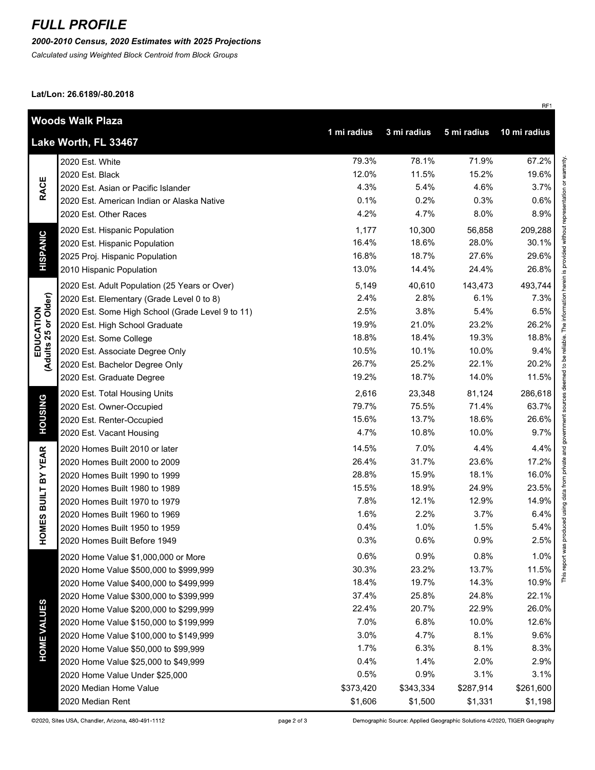### *FULL PROFILE*

### *2000-2010 Census, 2020 Estimates with 2025 Projections*

*Calculated using Weighted Block Centroid from Block Groups*

**Lat/Lon: 26.6189/-80.2018**

|                                   | <b>Woods Walk Plaza</b>                          |             |             |             |              |  |
|-----------------------------------|--------------------------------------------------|-------------|-------------|-------------|--------------|--|
|                                   | Lake Worth, FL 33467                             | 1 mi radius | 3 mi radius | 5 mi radius | 10 mi radius |  |
| <b>RACE</b>                       | 2020 Est. White                                  | 79.3%       | 78.1%       | 71.9%       | 67.2%        |  |
|                                   | 2020 Est. Black                                  | 12.0%       | 11.5%       | 15.2%       | 19.6%        |  |
|                                   | 2020 Est. Asian or Pacific Islander              | 4.3%        | 5.4%        | 4.6%        | 3.7%         |  |
|                                   | 2020 Est. American Indian or Alaska Native       | 0.1%        | 0.2%        | 0.3%        | 0.6%         |  |
|                                   | 2020 Est. Other Races                            | 4.2%        | 4.7%        | 8.0%        | 8.9%         |  |
| <b>HISPANIC</b>                   | 2020 Est. Hispanic Population                    | 1,177       | 10,300      | 56,858      | 209,288      |  |
|                                   | 2020 Est. Hispanic Population                    | 16.4%       | 18.6%       | 28.0%       | 30.1%        |  |
|                                   | 2025 Proj. Hispanic Population                   | 16.8%       | 18.7%       | 27.6%       | 29.6%        |  |
|                                   | 2010 Hispanic Population                         | 13.0%       | 14.4%       | 24.4%       | 26.8%        |  |
|                                   | 2020 Est. Adult Population (25 Years or Over)    | 5,149       | 40,610      | 143,473     | 493,744      |  |
| EDUCATION<br>(Adults 25 or Older) | 2020 Est. Elementary (Grade Level 0 to 8)        | 2.4%        | 2.8%        | 6.1%        | 7.3%         |  |
|                                   | 2020 Est. Some High School (Grade Level 9 to 11) | 2.5%        | 3.8%        | 5.4%        | 6.5%         |  |
|                                   | 2020 Est. High School Graduate                   | 19.9%       | 21.0%       | 23.2%       | 26.2%        |  |
|                                   | 2020 Est. Some College                           | 18.8%       | 18.4%       | 19.3%       | 18.8%        |  |
|                                   | 2020 Est. Associate Degree Only                  | 10.5%       | 10.1%       | 10.0%       | 9.4%         |  |
|                                   | 2020 Est. Bachelor Degree Only                   | 26.7%       | 25.2%       | 22.1%       | 20.2%        |  |
|                                   | 2020 Est. Graduate Degree                        | 19.2%       | 18.7%       | 14.0%       | 11.5%        |  |
|                                   | 2020 Est. Total Housing Units                    | 2,616       | 23,348      | 81,124      | 286,618      |  |
| <b>HOUSING</b>                    | 2020 Est. Owner-Occupied                         | 79.7%       | 75.5%       | 71.4%       | 63.7%        |  |
|                                   | 2020 Est. Renter-Occupied                        | 15.6%       | 13.7%       | 18.6%       | 26.6%        |  |
|                                   | 2020 Est. Vacant Housing                         | 4.7%        | 10.8%       | 10.0%       | 9.7%         |  |
|                                   | 2020 Homes Built 2010 or later                   | 14.5%       | 7.0%        | 4.4%        | 4.4%         |  |
| BY YEAR                           | 2020 Homes Built 2000 to 2009                    | 26.4%       | 31.7%       | 23.6%       | 17.2%        |  |
|                                   | 2020 Homes Built 1990 to 1999                    | 28.8%       | 15.9%       | 18.1%       | 16.0%        |  |
|                                   | 2020 Homes Built 1980 to 1989                    | 15.5%       | 18.9%       | 24.9%       | 23.5%        |  |
|                                   | 2020 Homes Built 1970 to 1979                    | 7.8%        | 12.1%       | 12.9%       | 14.9%        |  |
| HOMES BUILT                       | 2020 Homes Built 1960 to 1969                    | 1.6%        | 2.2%        | 3.7%        | 6.4%         |  |
|                                   | 2020 Homes Built 1950 to 1959                    | 0.4%        | 1.0%        | 1.5%        | 5.4%         |  |
|                                   | 2020 Homes Built Before 1949                     | 0.3%        | 0.6%        | 0.9%        | 2.5%         |  |
|                                   | 2020 Home Value \$1,000,000 or More              | 0.6%        | 0.9%        | 0.8%        | 1.0%         |  |
|                                   | 2020 Home Value \$500,000 to \$999,999           | 30.3%       | 23.2%       | 13.7%       | 11.5%        |  |
|                                   | 2020 Home Value \$400,000 to \$499,999           | 18.4%       | 19.7%       | 14.3%       | 10.9%        |  |
|                                   | 2020 Home Value \$300,000 to \$399,999           | 37.4%       | 25.8%       | 24.8%       | 22.1%        |  |
|                                   | 2020 Home Value \$200,000 to \$299,999           | 22.4%       | 20.7%       | 22.9%       | 26.0%        |  |
|                                   | 2020 Home Value \$150,000 to \$199,999           | 7.0%        | 6.8%        | 10.0%       | 12.6%        |  |
| <b>HOME VALUES</b>                | 2020 Home Value \$100,000 to \$149,999           | 3.0%        | 4.7%        | 8.1%        | 9.6%         |  |
|                                   | 2020 Home Value \$50,000 to \$99,999             | 1.7%        | 6.3%        | 8.1%        | 8.3%         |  |
|                                   | 2020 Home Value \$25,000 to \$49,999             | 0.4%        | 1.4%        | 2.0%        | 2.9%         |  |
|                                   | 2020 Home Value Under \$25,000                   | 0.5%        | 0.9%        | 3.1%        | 3.1%         |  |
|                                   | 2020 Median Home Value                           | \$373,420   | \$343,334   | \$287,914   | \$261,600    |  |
|                                   | 2020 Median Rent                                 | \$1,606     | \$1,500     | \$1,331     | \$1,198      |  |

RF1

Demographic Source: Applied Geographic Solutions 4/2020, TIGER Geography